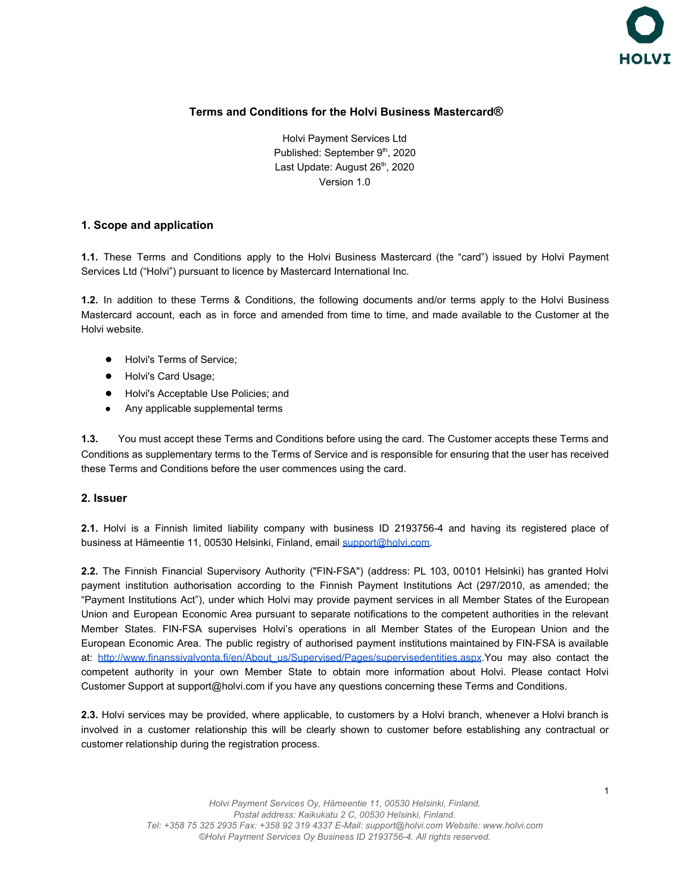

# **Terms and Conditions for the Holvi Business Mastercard®**

Holvi Payment Services Ltd Published: September 9<sup>th</sup>, 2020 Last Update: August 26<sup>th</sup>, 2020 Version 1.0

#### **1. Scope and application**

**1.1.** These Terms and Conditions apply to the Holvi Business Mastercard (the "card") issued by Holvi Payment Services Ltd ("Holvi") pursuant to licence by Mastercard International Inc.

**1.2.** In addition to these Terms & Conditions, the following documents and/or terms apply to the Holvi Business Mastercard account, each as in force and amended from time to time, and made available to the Customer at the Holvi website.

- Holvi's Terms of Service:
- Holvi's Card Usage;
- Holvi's Acceptable Use Policies; and
- Any applicable supplemental terms

**1.3.** You must accept these Terms and Conditions before using the card. The Customer accepts these Terms and Conditions as supplementary terms to the Terms of Service and is responsible for ensuring that the user has received these Terms and Conditions before the user commences using the card.

### **2. Issuer**

**2.1.** Holvi is a Finnish limited liability company with business ID 2193756-4 and having its registered place of business at Hämeentie 11, 00530 Helsinki, Finland, email [support@holvi.com.](mailto:support@holvi.com)

**2.2.** The Finnish Financial Supervisory Authority ("FIN-FSA") (address: PL 103, 00101 Helsinki) has granted Holvi payment institution authorisation according to the Finnish Payment Institutions Act (297/2010, as amended; the "Payment Institutions Act"), under which Holvi may provide payment services in all Member States of the European Union and European Economic Area pursuant to separate notifications to the competent authorities in the relevant Member States. FIN-FSA supervises Holvi's operations in all Member States of the European Union and the European Economic Area. The public registry of authorised payment institutions maintained by FIN-FSA is available at: [http://www.finanssivalvonta.fi/en/About\\_us/Supervised/Pages/supervisedentities.aspx.](http://www.finanssivalvonta.fi/en/About_us/Supervised/Pages/supervisedentities.aspx)You may also contact the competent authority in your own Member State to obtain more information about Holvi. Please contact Holvi Customer Support at support@holvi.com if you have any questions concerning these Terms and Conditions.

**2.3.** Holvi services may be provided, where applicable, to customers by a Holvi branch, whenever a Holvi branch is involved in a customer relationship this will be clearly shown to customer before establishing any contractual or customer relationship during the registration process.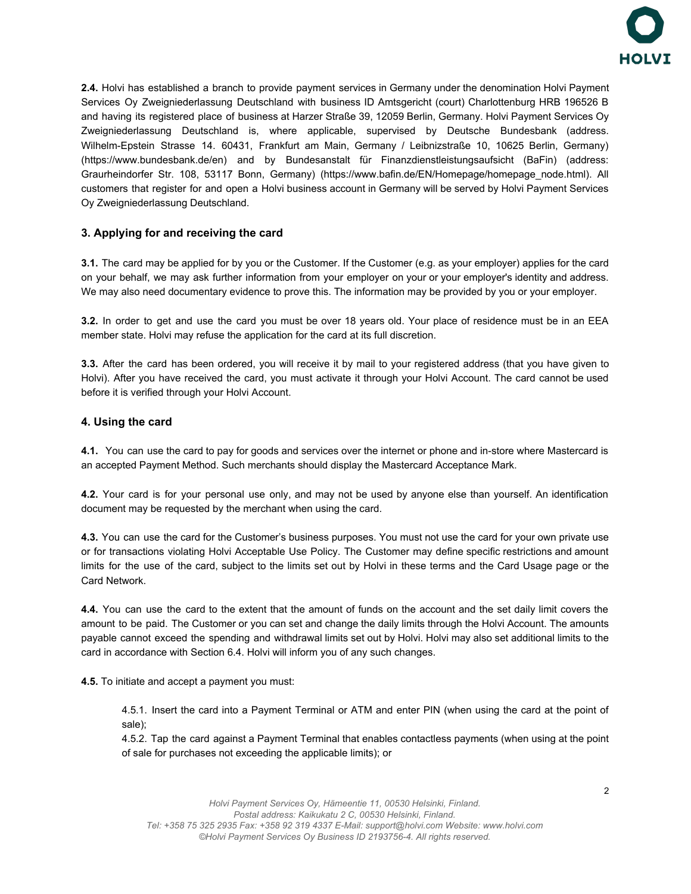

**2.4.** Holvi has established a branch to provide payment services in Germany under the denomination Holvi Payment Services Oy Zweigniederlassung Deutschland with business ID Amtsgericht (court) Charlottenburg HRB 196526 B and having its registered place of business at Harzer Straße 39, 12059 Berlin, Germany. Holvi Payment Services Oy Zweigniederlassung Deutschland is, where applicable, supervised by Deutsche Bundesbank (address. Wilhelm-Epstein Strasse 14. 60431, Frankfurt am Main, Germany / Leibnizstraße 10, 10625 Berlin, Germany) (<https://www.bundesbank.de/en>) and by Bundesanstalt für Finanzdienstleistungsaufsicht (BaFin) (address: Graurheindorfer Str. 108, 53117 Bonn, Germany) [\(https://www.bafin.de/EN/Homepage/homepage\\_node.html](https://www.bafin.de/EN/Homepage/homepage_node.html)). All customers that register for and open a Holvi business account in Germany will be served by Holvi Payment Services Oy Zweigniederlassung Deutschland.

# **3. Applying for and receiving the card**

**3.1.** The card may be applied for by you or the Customer. If the Customer (e.g. as your employer) applies for the card on your behalf, we may ask further information from your employer on your or your employer's identity and address. We may also need documentary evidence to prove this. The information may be provided by you or your employer.

**3.2.** In order to get and use the card you must be over 18 years old. Your place of residence must be in an EEA member state. Holvi may refuse the application for the card at its full discretion.

**3.3.** After the card has been ordered, you will receive it by mail to your registered address (that you have given to Holvi). After you have received the card, you must activate it through your Holvi Account. The card cannot be used before it is verified through your Holvi Account.

### **4. Using the card**

**4.1.** You can use the card to pay for goods and services over the internet or phone and in-store where Mastercard is an accepted Payment Method. Such merchants should display the Mastercard Acceptance Mark.

**4.2.** Your card is for your personal use only, and may not be used by anyone else than yourself. An identification document may be requested by the merchant when using the card.

**4.3.** You can use the card for the Customer's business purposes. You must not use the card for your own private use or for transactions violating Holvi Acceptable Use Policy. The Customer may define specific restrictions and amount limits for the use of the card, subject to the limits set out by Holvi in these terms and the Card Usage page or the Card Network.

**4.4.** You can use the card to the extent that the amount of funds on the account and the set daily limit covers the amount to be paid. The Customer or you can set and change the daily limits through the Holvi Account. The amounts payable cannot exceed the spending and withdrawal limits set out by Holvi. Holvi may also set additional limits to the card in accordance with Section 6.4. Holvi will inform you of any such changes.

**4.5.** To initiate and accept a payment you must:

4.5.1. Insert the card into a Payment Terminal or ATM and enter PIN (when using the card at the point of sale);

4.5.2. Tap the card against a Payment Terminal that enables contactless payments (when using at the point of sale for purchases not exceeding the applicable limits); or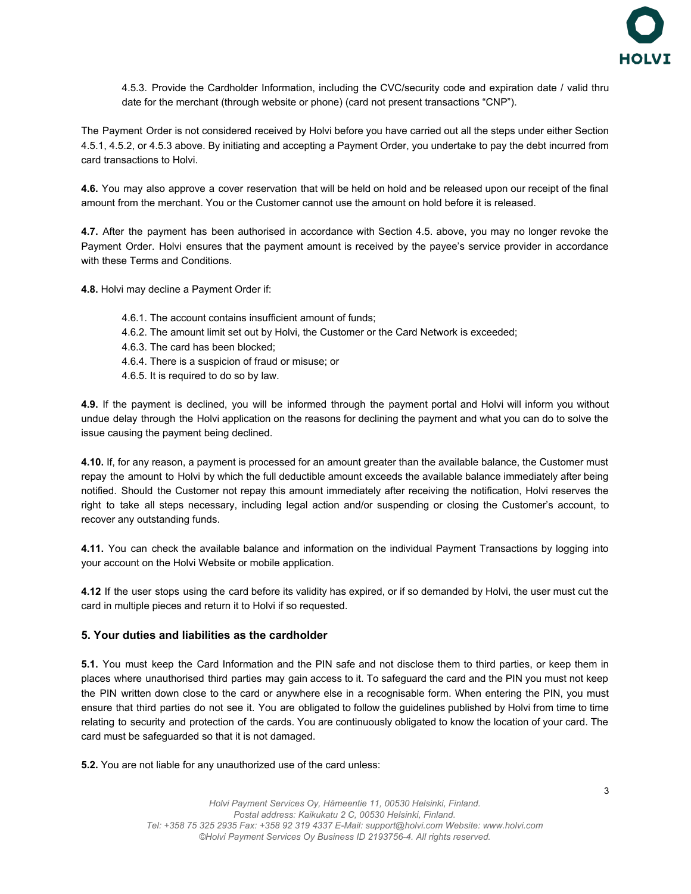

4.5.3. Provide the Cardholder Information, including the CVC/security code and expiration date / valid thru date for the merchant (through website or phone) (card not present transactions "CNP").

The Payment Order is not considered received by Holvi before you have carried out all the steps under either Section 4.5.1, 4.5.2, or 4.5.3 above. By initiating and accepting a Payment Order, you undertake to pay the debt incurred from card transactions to Holvi.

**4.6.** You may also approve a cover reservation that will be held on hold and be released upon our receipt of the final amount from the merchant. You or the Customer cannot use the amount on hold before it is released.

**4.7.** After the payment has been authorised in accordance with Section 4.5. above, you may no longer revoke the Payment Order. Holvi ensures that the payment amount is received by the payee's service provider in accordance with these Terms and Conditions.

**4.8.** Holvi may decline a Payment Order if:

- 4.6.1. The account contains insufficient amount of funds;
- 4.6.2. The amount limit set out by Holvi, the Customer or the Card Network is exceeded;
- 4.6.3. The card has been blocked;
- 4.6.4. There is a suspicion of fraud or misuse; or
- 4.6.5. It is required to do so by law.

**4.9.** If the payment is declined, you will be informed through the payment portal and Holvi will inform you without undue delay through the Holvi application on the reasons for declining the payment and what you can do to solve the issue causing the payment being declined.

**4.10.** If, for any reason, a payment is processed for an amount greater than the available balance, the Customer must repay the amount to Holvi by which the full deductible amount exceeds the available balance immediately after being notified. Should the Customer not repay this amount immediately after receiving the notification, Holvi reserves the right to take all steps necessary, including legal action and/or suspending or closing the Customer's account, to recover any outstanding funds.

**4.11.** You can check the available balance and information on the individual Payment Transactions by logging into your account on the Holvi Website or mobile application.

**4.12** If the user stops using the card before its validity has expired, or if so demanded by Holvi, the user must cut the card in multiple pieces and return it to Holvi if so requested.

#### **5. Your duties and liabilities as the cardholder**

**5.1.** You must keep the Card Information and the PIN safe and not disclose them to third parties, or keep them in places where unauthorised third parties may gain access to it. To safeguard the card and the PIN you must not keep the PIN written down close to the card or anywhere else in a recognisable form. When entering the PIN, you must ensure that third parties do not see it. You are obligated to follow the guidelines published by Holvi from time to time relating to security and protection of the cards. You are continuously obligated to know the location of your card. The card must be safeguarded so that it is not damaged.

**5.2.** You are not liable for any unauthorized use of the card unless: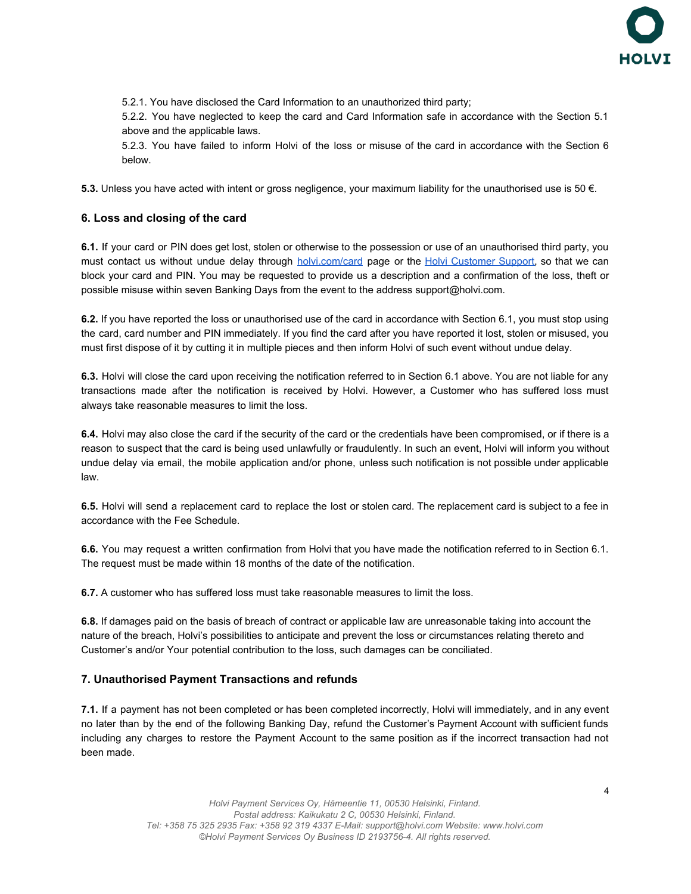

5.2.1. You have disclosed the Card Information to an unauthorized third party;

5.2.2. You have neglected to keep the card and Card Information safe in accordance with the Section 5.1 above and the applicable laws.

5.2.3. You have failed to inform Holvi of the loss or misuse of the card in accordance with the Section 6 below.

**5.3.** Unless you have acted with intent or gross negligence, your maximum liability for the unauthorised use is 50 €.

# **6. Loss and closing of the card**

**6.1.** If your card or PIN does get lost, stolen or otherwise to the possession or use of an unauthorised third party, you must contact us without undue delay through [holvi.com/card](https://support.holvi.com/hc/en-gb/categories/200918799) page or the Holvi [Customer](https://support.holvi.com/hc/en-gb/articles/115005238365-Contact-us-) Support, so that we can block your card and PIN. You may be requested to provide us a description and a confirmation of the loss, theft or possible misuse within seven Banking Days from the event to the address [support@holvi.com.](mailto:support@holvi.com)

**6.2.** If you have reported the loss or unauthorised use of the card in accordance with Section 6.1, you must stop using the card, card number and PIN immediately. If you find the card after you have reported it lost, stolen or misused, you must first dispose of it by cutting it in multiple pieces and then inform Holvi of such event without undue delay.

**6.3.** Holvi will close the card upon receiving the notification referred to in Section 6.1 above. You are not liable for any transactions made after the notification is received by Holvi. However, a Customer who has suffered loss must always take reasonable measures to limit the loss.

**6.4.** Holvi may also close the card if the security of the card or the credentials have been compromised, or if there is a reason to suspect that the card is being used unlawfully or fraudulently. In such an event, Holvi will inform you without undue delay via email, the mobile application and/or phone, unless such notification is not possible under applicable law.

**6.5.** Holvi will send a replacement card to replace the lost or stolen card. The replacement card is subject to a fee in accordance with the Fee Schedule.

**6.6.** You may request a written confirmation from Holvi that you have made the notification referred to in Section 6.1. The request must be made within 18 months of the date of the notification.

**6.7.** A customer who has suffered loss must take reasonable measures to limit the loss.

**6.8.** If damages paid on the basis of breach of contract or applicable law are unreasonable taking into account the nature of the breach, Holvi's possibilities to anticipate and prevent the loss or circumstances relating thereto and Customer's and/or Your potential contribution to the loss, such damages can be conciliated.

### **7. Unauthorised Payment Transactions and refunds**

**7.1.** If a payment has not been completed or has been completed incorrectly, Holvi will immediately, and in any event no later than by the end of the following Banking Day, refund the Customer's Payment Account with sufficient funds including any charges to restore the Payment Account to the same position as if the incorrect transaction had not been made.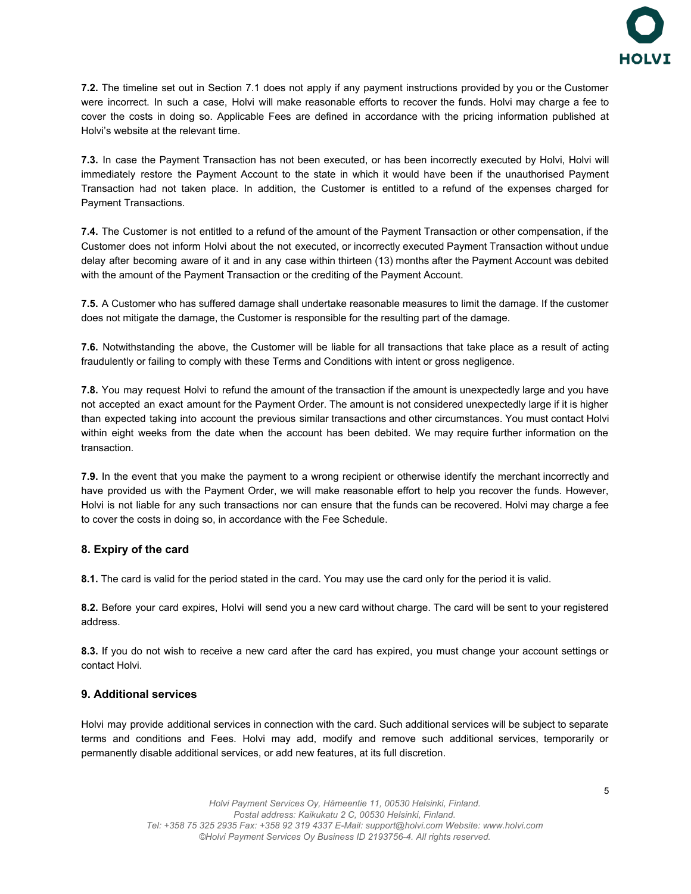

**7.2.** The timeline set out in Section 7.1 does not apply if any payment instructions provided by you or the Customer were incorrect. In such a case, Holvi will make reasonable efforts to recover the funds. Holvi may charge a fee to cover the costs in doing so. Applicable Fees are defined in accordance with the pricing information published at Holvi's website at the relevant time.

**7.3.** In case the Payment Transaction has not been executed, or has been incorrectly executed by Holvi, Holvi will immediately restore the Payment Account to the state in which it would have been if the unauthorised Payment Transaction had not taken place. In addition, the Customer is entitled to a refund of the expenses charged for Payment Transactions.

**7.4.** The Customer is not entitled to a refund of the amount of the Payment Transaction or other compensation, if the Customer does not inform Holvi about the not executed, or incorrectly executed Payment Transaction without undue delay after becoming aware of it and in any case within thirteen (13) months after the Payment Account was debited with the amount of the Payment Transaction or the crediting of the Payment Account.

**7.5.** A Customer who has suffered damage shall undertake reasonable measures to limit the damage. If the customer does not mitigate the damage, the Customer is responsible for the resulting part of the damage.

**7.6.** Notwithstanding the above, the Customer will be liable for all transactions that take place as a result of acting fraudulently or failing to comply with these Terms and Conditions with intent or gross negligence.

**7.8.** You may request Holvi to refund the amount of the transaction if the amount is unexpectedly large and you have not accepted an exact amount for the Payment Order. The amount is not considered unexpectedly large if it is higher than expected taking into account the previous similar transactions and other circumstances. You must contact Holvi within eight weeks from the date when the account has been debited. We may require further information on the transaction.

**7.9.** In the event that you make the payment to a wrong recipient or otherwise identify the merchant incorrectly and have provided us with the Payment Order, we will make reasonable effort to help you recover the funds. However, Holvi is not liable for any such transactions nor can ensure that the funds can be recovered. Holvi may charge a fee to cover the costs in doing so, in accordance with the Fee Schedule.

### **8. Expiry of the card**

**8.1.** The card is valid for the period stated in the card. You may use the card only for the period it is valid.

**8.2.** Before your card expires, Holvi will send you a new card without charge. The card will be sent to your registered address.

**8.3.** If you do not wish to receive a new card after the card has expired, you must change your account settings or contact Holvi.

### **9. Additional services**

Holvi may provide additional services in connection with the card. Such additional services will be subject to separate terms and conditions and Fees. Holvi may add, modify and remove such additional services, temporarily or permanently disable additional services, or add new features, at its full discretion.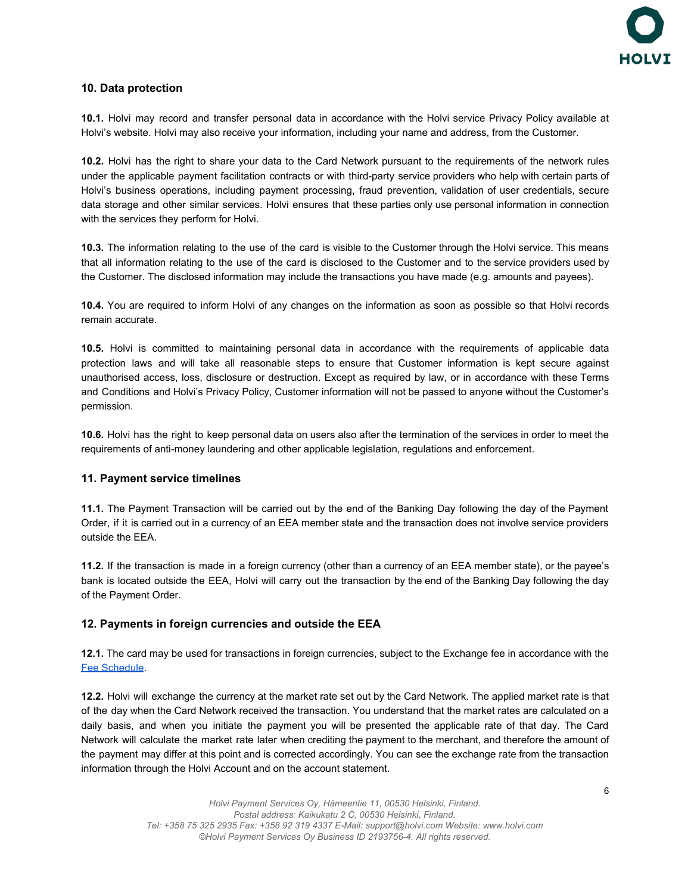

### **10. Data protection**

**10.1.** Holvi may record and transfer personal data in accordance with the Holvi service Privacy Policy available at Holvi's website. Holvi may also receive your information, including your name and address, from the Customer.

**10.2.** Holvi has the right to share your data to the Card Network pursuant to the requirements of the network rules under the applicable payment facilitation contracts or with third-party service providers who help with certain parts of Holvi's business operations, including payment processing, fraud prevention, validation of user credentials, secure data storage and other similar services. Holvi ensures that these parties only use personal information in connection with the services they perform for Holvi.

**10.3.** The information relating to the use of the card is visible to the Customer through the Holvi service. This means that all information relating to the use of the card is disclosed to the Customer and to the service providers used by the Customer. The disclosed information may include the transactions you have made (e.g. amounts and payees).

**10.4.** You are required to inform Holvi of any changes on the information as soon as possible so that Holvi records remain accurate.

**10.5.** Holvi is committed to maintaining personal data in accordance with the requirements of applicable data protection laws and will take all reasonable steps to ensure that Customer information is kept secure against unauthorised access, loss, disclosure or destruction. Except as required by law, or in accordance with these Terms and Conditions and Holvi's Privacy Policy, Customer information will not be passed to anyone without the Customer's permission.

**10.6.** Holvi has the right to keep personal data on users also after the termination of the services in order to meet the requirements of anti-money laundering and other applicable legislation, regulations and enforcement.

### **11. Payment service timelines**

**11.1.** The Payment Transaction will be carried out by the end of the Banking Day following the day of the Payment Order, if it is carried out in a currency of an EEA member state and the transaction does not involve service providers outside the EEA.

**11.2.** If the transaction is made in a foreign currency (other than a currency of an EEA member state), or the payee's bank is located outside the EEA, Holvi will carry out the transaction by the end of the Banking Day following the day of the Payment Order.

### **12. Payments in foreign currencies and outside the EEA**

**12.1.** The card may be used for transactions in foreign currencies, subject to the Exchange fee in accordance with the [Fee Schedule.](https://support.holvi.com/hc/en-gb/sections/201688721-Pricing-and-fee-schedules)

**12.2.** Holvi will exchange the currency at the market rate set out by the Card Network. The applied market rate is that of the day when the Card Network received the transaction. You understand that the market rates are calculated on a daily basis, and when you initiate the payment you will be presented the applicable rate of that day. The Card Network will calculate the market rate later when crediting the payment to the merchant, and therefore the amount of the payment may differ at this point and is corrected accordingly. You can see the exchange rate from the transaction information through the Holvi Account and on the account statement.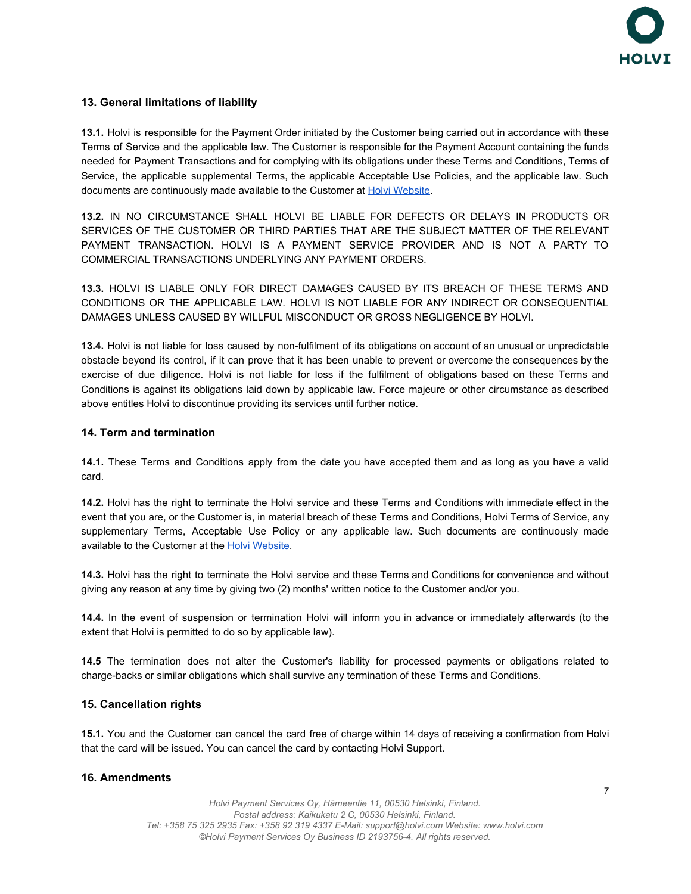

# **13. General limitations of liability**

**13.1.** Holvi is responsible for the Payment Order initiated by the Customer being carried out in accordance with these Terms of Service and the applicable law. The Customer is responsible for the Payment Account containing the funds needed for Payment Transactions and for complying with its obligations under these Terms and Conditions, Terms of Service, the applicable supplemental Terms, the applicable Acceptable Use Policies, and the applicable law. Such documents are continuously made available to the Customer at [Holvi Website](https://support.holvi.com/hc/en-gb/categories/200376932-Legal).

**13.2.** IN NO CIRCUMSTANCE SHALL HOLVI BE LIABLE FOR DEFECTS OR DELAYS IN PRODUCTS OR SERVICES OF THE CUSTOMER OR THIRD PARTIES THAT ARE THE SUBJECT MATTER OF THE RELEVANT PAYMENT TRANSACTION. HOLVI IS A PAYMENT SERVICE PROVIDER AND IS NOT A PARTY TO COMMERCIAL TRANSACTIONS UNDERLYING ANY PAYMENT ORDERS.

**13.3.** HOLVI IS LIABLE ONLY FOR DIRECT DAMAGES CAUSED BY ITS BREACH OF THESE TERMS AND CONDITIONS OR THE APPLICABLE LAW. HOLVI IS NOT LIABLE FOR ANY INDIRECT OR CONSEQUENTIAL DAMAGES UNLESS CAUSED BY WILLFUL MISCONDUCT OR GROSS NEGLIGENCE BY HOLVI.

**13.4.** Holvi is not liable for loss caused by non-fulfilment of its obligations on account of an unusual or unpredictable obstacle beyond its control, if it can prove that it has been unable to prevent or overcome the consequences by the exercise of due diligence. Holvi is not liable for loss if the fulfilment of obligations based on these Terms and Conditions is against its obligations laid down by applicable law. Force majeure or other circumstance as described above entitles Holvi to discontinue providing its services until further notice.

#### **14. Term and termination**

**14.1.** These Terms and Conditions apply from the date you have accepted them and as long as you have a valid card.

**14.2.** Holvi has the right to terminate the Holvi service and these Terms and Conditions with immediate effect in the event that you are, or the Customer is, in material breach of these Terms and Conditions, Holvi Terms of Service, any supplementary Terms, Acceptable Use Policy or any applicable law. Such documents are continuously made available to the Customer at the [Holvi Website](https://support.holvi.com/hc/en-gb/categories/200376932-Legal).

**14.3.** Holvi has the right to terminate the Holvi service and these Terms and Conditions for convenience and without giving any reason at any time by giving two (2) months' written notice to the Customer and/or you.

**14.4.** In the event of suspension or termination Holvi will inform you in advance or immediately afterwards (to the extent that Holvi is permitted to do so by applicable law).

**14.5** The termination does not alter the Customer's liability for processed payments or obligations related to charge-backs or similar obligations which shall survive any termination of these Terms and Conditions.

### **15. Cancellation rights**

**15.1.** You and the Customer can cancel the card free of charge within 14 days of receiving a confirmation from Holvi that the card will be issued. You can cancel the card by contacting Holvi Support.

### **16. Amendments**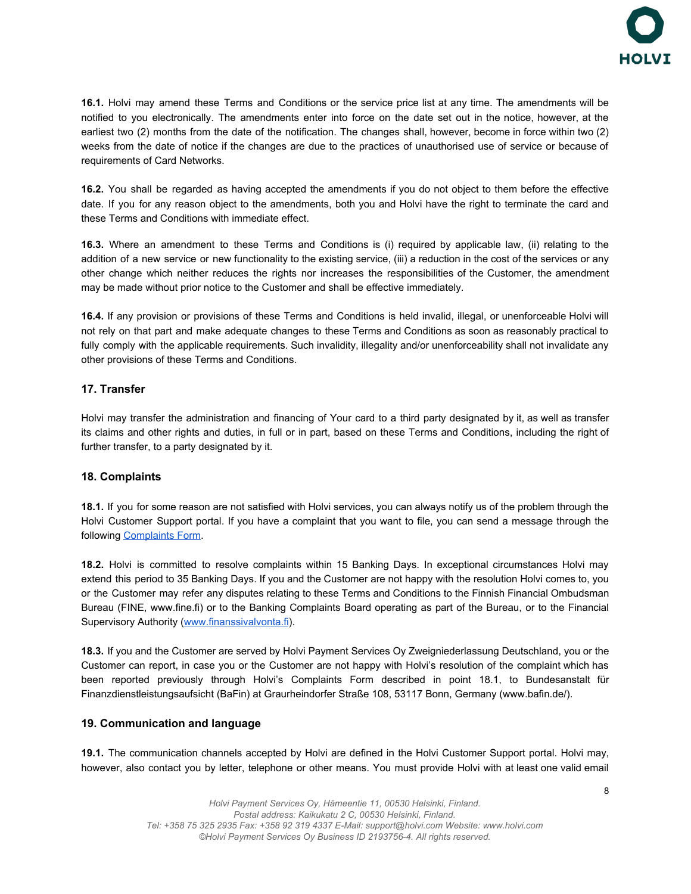

**16.1.** Holvi may amend these Terms and Conditions or the service price list at any time. The amendments will be notified to you electronically. The amendments enter into force on the date set out in the notice, however, at the earliest two (2) months from the date of the notification. The changes shall, however, become in force within two (2) weeks from the date of notice if the changes are due to the practices of unauthorised use of service or because of requirements of Card Networks.

**16.2.** You shall be regarded as having accepted the amendments if you do not object to them before the effective date. If you for any reason object to the amendments, both you and Holvi have the right to terminate the card and these Terms and Conditions with immediate effect.

**16.3.** Where an amendment to these Terms and Conditions is (i) required by applicable law, (ii) relating to the addition of a new service or new functionality to the existing service, (iii) a reduction in the cost of the services or any other change which neither reduces the rights nor increases the responsibilities of the Customer, the amendment may be made without prior notice to the Customer and shall be effective immediately.

**16.4.** If any provision or provisions of these Terms and Conditions is held invalid, illegal, or unenforceable Holvi will not rely on that part and make adequate changes to these Terms and Conditions as soon as reasonably practical to fully comply with the applicable requirements. Such invalidity, illegality and/or unenforceability shall not invalidate any other provisions of these Terms and Conditions.

# **17. Transfer**

Holvi may transfer the administration and financing of Your card to a third party designated by it, as well as transfer its claims and other rights and duties, in full or in part, based on these Terms and Conditions, including the right of further transfer, to a party designated by it.

### **18. Complaints**

**18.1.** If you for some reason are not satisfied with Holvi services, you can always notify us of the problem through the Holvi Customer Support portal. If you have a complaint that you want to file, you can send a message through the following [Complaints Form](https://support.holvi.com/hc/en-gb/requests/new?ticket_form_id=72451&ticket_group_id=complaint).

**18.2.** Holvi is committed to resolve complaints within 15 Banking Days. In exceptional circumstances Holvi may extend this period to 35 Banking Days. If you and the Customer are not happy with the resolution Holvi comes to, you or the Customer may refer any disputes relating to these Terms and Conditions to the Finnish Financial Ombudsman Bureau (FINE, www.fine.fi) or to the Banking Complaints Board operating as part of the Bureau, or to the Financial Supervisory Authority [\(www.finanssivalvonta.fi](http://www.finanssivalvonta.fi/)).

**18.3.** If you and the Customer are served by Holvi Payment Services Oy Zweigniederlassung Deutschland, you or the Customer can report, in case you or the Customer are not happy with Holvi's resolution of the complaint which has been reported previously through Holvi's [Complaints](https://support.holvi.com/hc/en-gb/requests/new?ticket_form_id=72451&ticket_group_id=complaint) Form described in point 18.1, to Bundesanstalt für Finanzdienstleistungsaufsicht (BaFin) at Graurheindorfer Straße 108, 53117 Bonn, Germany ([www.bafin.de/](https://support.holvi.com/hc/en-gb/articles/www.bafin.de)).

### **19. Communication and language**

**19.1.** The communication channels accepted by Holvi are defined in the Holvi Customer Support portal. Holvi may, however, also contact you by letter, telephone or other means. You must provide Holvi with at least one valid email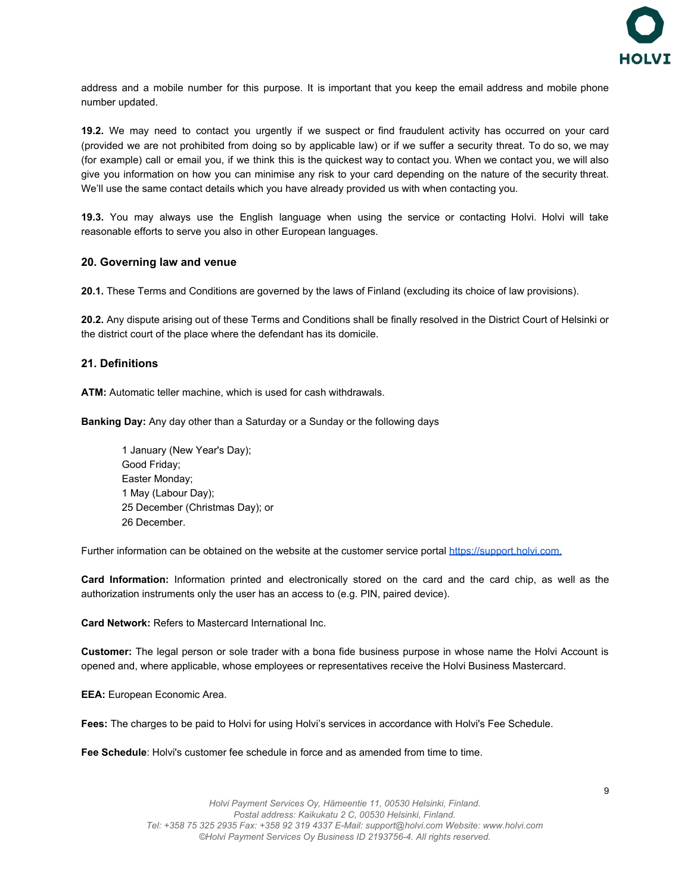

address and a mobile number for this purpose. It is important that you keep the email address and mobile phone number updated.

**19.2.** We may need to contact you urgently if we suspect or find fraudulent activity has occurred on your card (provided we are not prohibited from doing so by applicable law) or if we suffer a security threat. To do so, we may (for example) call or email you, if we think this is the quickest way to contact you. When we contact you, we will also give you information on how you can minimise any risk to your card depending on the nature of the security threat. We'll use the same contact details which you have already provided us with when contacting you.

**19.3.** You may always use the English language when using the service or contacting Holvi. Holvi will take reasonable efforts to serve you also in other European languages.

#### **20. Governing law and venue**

**20.1.** These Terms and Conditions are governed by the laws of Finland (excluding its choice of law provisions).

**20.2.** Any dispute arising out of these Terms and Conditions shall be finally resolved in the District Court of Helsinki or the district court of the place where the defendant has its domicile.

#### **21. Definitions**

**ATM:** Automatic teller machine, which is used for cash withdrawals.

**Banking Day:** Any day other than a Saturday or a Sunday or the following days

1 January (New Year's Day); Good Friday; Easter Monday; 1 May (Labour Day); 25 December (Christmas Day); or 26 December.

Further information can be obtained on the website at the customer service portal [https://support.holvi.com.](http://support.holvi.com/)

**Card Information:** Information printed and electronically stored on the card and the card chip, as well as the authorization instruments only the user has an access to (e.g. PIN, paired device).

**Card Network:** Refers to Mastercard International Inc.

**Customer:** The legal person or sole trader with a bona fide business purpose in whose name the Holvi Account is opened and, where applicable, whose employees or representatives receive the Holvi Business Mastercard.

**EEA:** European Economic Area.

**Fees:** The charges to be paid to Holvi for using Holvi's services in accordance with Holvi's Fee Schedule.

**Fee Schedule**: Holvi's customer fee schedule in force and as amended from time to time.